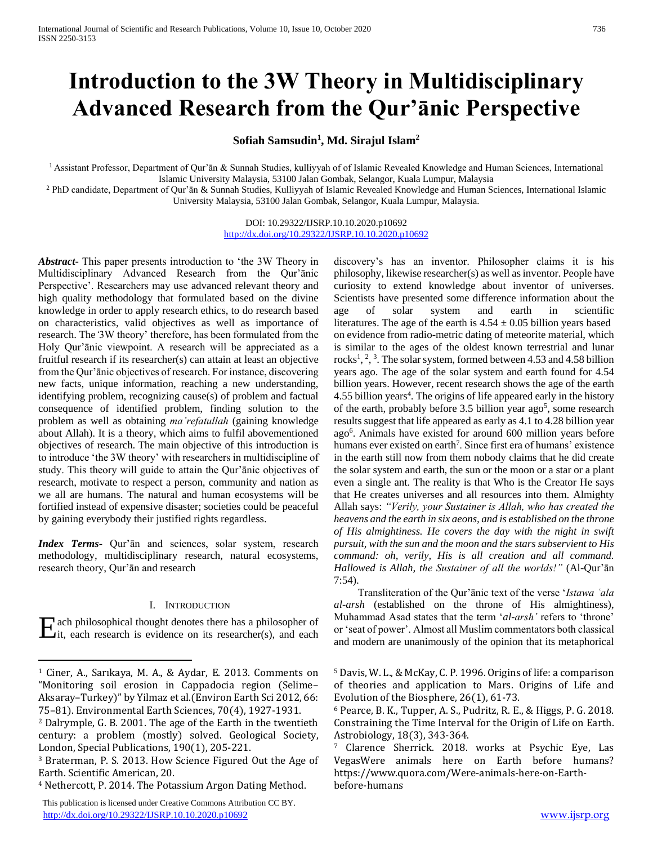# **Introduction to the 3W Theory in Multidisciplinary Advanced Research from the Qur'ānic Perspective**

**Sofiah Samsudin<sup>1</sup> , Md. Sirajul Islam<sup>2</sup>**

<sup>1</sup> Assistant Professor, Department of Qur'ān & Sunnah Studies, kulliyyah of of Islamic Revealed Knowledge and Human Sciences, International Islamic University Malaysia, 53100 Jalan Gombak, Selangor, Kuala Lumpur, Malaysia

<sup>2</sup> PhD candidate, Department of Qur'ān & Sunnah Studies, Kulliyyah of Islamic Revealed Knowledge and Human Sciences, International Islamic University Malaysia, 53100 Jalan Gombak, Selangor, Kuala Lumpur, Malaysia.

> DOI: 10.29322/IJSRP.10.10.2020.p10692 <http://dx.doi.org/10.29322/IJSRP.10.10.2020.p10692>

*Abstract***-** This paper presents introduction to 'the 3W Theory in Multidisciplinary Advanced Research from the Qur'ānic Perspective'. Researchers may use advanced relevant theory and high quality methodology that formulated based on the divine knowledge in order to apply research ethics, to do research based on characteristics, valid objectives as well as importance of research. The*'*3W theory' therefore, has been formulated from the Holy Qur'ānic viewpoint. A research will be appreciated as a fruitful research if its researcher(s) can attain at least an objective from the Qur'ānic objectives of research. For instance, discovering new facts, unique information, reaching a new understanding, identifying problem, recognizing cause(s) of problem and factual consequence of identified problem, finding solution to the problem as well as obtaining *ma'refatullah* (gaining knowledge about Allah). It is a theory, which aims to fulfil abovementioned objectives of research. The main objective of this introduction is to introduce 'the 3W theory' with researchers in multidiscipline of study. This theory will guide to attain the Qur'ānic objectives of research, motivate to respect a person, community and nation as we all are humans. The natural and human ecosystems will be fortified instead of expensive disaster; societies could be peaceful by gaining everybody their justified rights regardless.

*Index Terms*- Qur'ān and sciences, solar system, research methodology, multidisciplinary research, natural ecosystems, research theory, Qur'ān and research

## I. INTRODUCTION

ach philosophical thought denotes there has a philosopher of  $\sum$ ach philosophical thought denotes there has a philosopher of its researcher(s), and each

 $\overline{a}$ 

 This publication is licensed under Creative Commons Attribution CC BY. <http://dx.doi.org/10.29322/IJSRP.10.10.2020.p10692> [www.ijsrp.org](http://ijsrp.org/)

discovery's has an inventor. Philosopher claims it is his philosophy, likewise researcher(s) as well as inventor. People have curiosity to extend knowledge about inventor of universes. Scientists have presented some difference information about the age of solar system and earth in scientific literatures. The age of the earth is  $4.54 \pm 0.05$  billion years based on evidence from radio-metric dating of meteorite material, which is similar to the ages of the oldest known terrestrial and lunar rocks<sup>1</sup>, <sup>2</sup>, <sup>3</sup>. The solar system, formed between 4.53 and 4.58 billion years ago. The age of the solar system and earth found for 4.54 billion years. However, recent research shows the age of the earth 4.55 billion years<sup>4</sup>. The origins of life appeared early in the history of the earth, probably before  $3.5$  billion year ago<sup>5</sup>, some research results suggest that life appeared as early as 4.1 to 4.28 billion year ago<sup>6</sup>. Animals have existed for around 600 million years before humans ever existed on earth<sup>7</sup>. Since first era of humans' existence in the earth still now from them nobody claims that he did create the solar system and earth, the sun or the moon or a star or a plant even a single ant. The reality is that Who is the Creator He says that He creates universes and all resources into them. Almighty Allah says: *"Verily, your Sustainer is Allah, who has created the heavens and the earth in six aeons, and is established on the throne of His almightiness. He covers the day with the night in swift pursuit, with the sun and the moon and the stars subservient to His command: oh, verily, His is all creation and all command. Hallowed is Allah, the Sustainer of all the worlds!"* (Al-Qur'ān 7:54).

 Transliteration of the Qur'ānic text of the verse '*Istawa ʿala al-arsh* (established on the throne of His almightiness), Muhammad Asad states that the term '*al-arsh'* refers to 'throne' or 'seat of power'. Almost all Muslim commentators both classical and modern are unanimously of the opinion that its metaphorical

<sup>1</sup> Ciner, A., Sarıkaya, M. A., & Aydar, E. 2013. Comments on "Monitoring soil erosion in Cappadocia region (Selime– Aksaray–Turkey)" by Yilmaz et al.(Environ Earth Sci 2012, 66: 75–81). Environmental Earth Sciences, 70(4), 1927-1931.

<sup>2</sup> Dalrymple, G. B. 2001. The age of the Earth in the twentieth century: a problem (mostly) solved. Geological Society, London, Special Publications, 190(1), 205-221.

<sup>3</sup> Braterman, P. S. 2013. How Science Figured Out the Age of Earth. Scientific American, 20.

<sup>4</sup> Nethercott, P. 2014. The Potassium Argon Dating Method.

<sup>5</sup> Davis, W. L., & McKay, C. P. 1996. Origins of life: a comparison of theories and application to Mars. Origins of Life and Evolution of the Biosphere, 26(1), 61-73.

<sup>6</sup> Pearce, B. K., Tupper, A. S., Pudritz, R. E., & Higgs, P. G. 2018. Constraining the Time Interval for the Origin of Life on Earth. Astrobiology, 18(3), 343-364.

<sup>7</sup> Clarence Sherrick. 2018. works at Psychic Eye, Las VegasWere animals here on Earth before humans? https://www.quora.com/Were-animals-here-on-Earthbefore-humans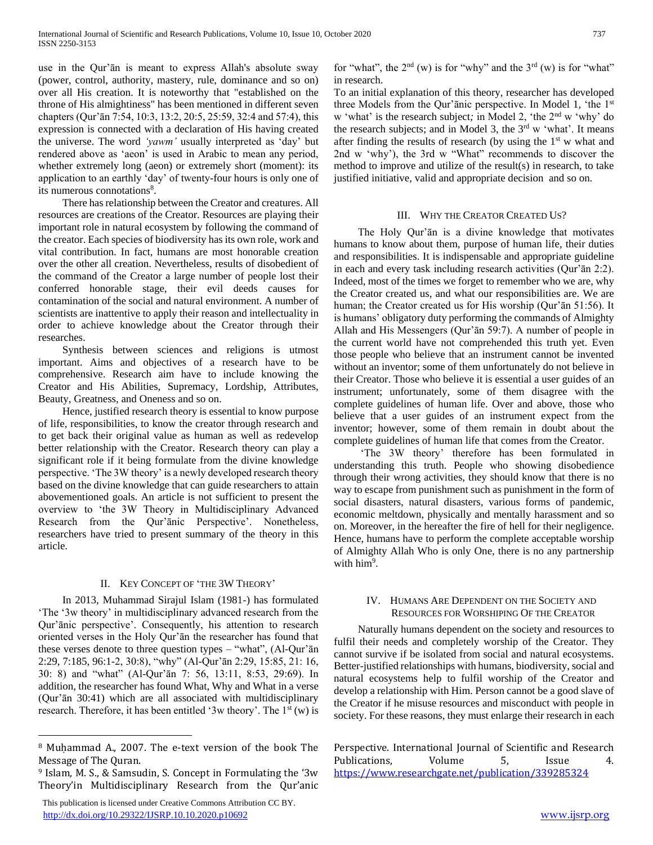use in the Qur'ān is meant to express Allah's absolute sway (power, control, authority, mastery, rule, dominance and so on) over all His creation. It is noteworthy that "established on the throne of His almightiness" has been mentioned in different seven chapters (Qur'ān 7:54, 10:3, 13:2, 20:5, 25:59, 32:4 and 57:4), this expression is connected with a declaration of His having created the universe. The word *'yawm'* usually interpreted as 'day' but rendered above as 'aeon' is used in Arabic to mean any period, whether extremely long (aeon) or extremely short (moment): its application to an earthly 'day' of twenty-four hours is only one of its numerous connotations<sup>8</sup>.

 There has relationship between the Creator and creatures. All resources are creations of the Creator. Resources are playing their important role in natural ecosystem by following the command of the creator. Each species of biodiversity has its own role, work and vital contribution. In fact, humans are most honorable creation over the other all creation. Nevertheless, results of disobedient of the command of the Creator a large number of people lost their conferred honorable stage, their evil deeds causes for contamination of the social and natural environment. A number of scientists are inattentive to apply their reason and intellectuality in order to achieve knowledge about the Creator through their researches.

 Synthesis between sciences and religions is utmost important. Aims and objectives of a research have to be comprehensive. Research aim have to include knowing the Creator and His Abilities, Supremacy, Lordship, Attributes, Beauty, Greatness, and Oneness and so on.

 Hence, justified research theory is essential to know purpose of life, responsibilities, to know the creator through research and to get back their original value as human as well as redevelop better relationship with the Creator. Research theory can play a significant role if it being formulate from the divine knowledge perspective. 'The 3W theory' is a newly developed research theory based on the divine knowledge that can guide researchers to attain abovementioned goals. An article is not sufficient to present the overview to 'the 3W Theory in Multidisciplinary Advanced Research from the Qur'ānic Perspective'. Nonetheless, researchers have tried to present summary of the theory in this article.

# II. KEY CONCEPT OF 'THE 3W THEORY'

 In 2013, Muhammad Sirajul Islam (1981-) has formulated 'The '3w theory' in multidisciplinary advanced research from the Qur'ānic perspective'. Consequently, his attention to research oriented verses in the Holy Qur'ān the researcher has found that these verses denote to three question types – "what", (Al-Qur'ān 2:29, 7:185, 96:1-2, 30:8), "why" (Al-Qur'ān 2:29, 15:85, 21: 16, 30: 8) and "what" (Al-Qur'ān 7: 56, 13:11, 8:53, 29:69). In addition, the researcher has found What, Why and What in a verse (Qur'ān 30:41) which are all associated with multidisciplinary research. Therefore, it has been entitled '3w theory'. The  $1<sup>st</sup>$  (w) is

 $\overline{a}$ 

for "what", the  $2<sup>nd</sup>$  (w) is for "why" and the  $3<sup>rd</sup>$  (w) is for "what" in research.

To an initial explanation of this theory, researcher has developed three Models from the Qur'ānic perspective. In Model 1*,* 'the 1st w 'what' is the research subject*;* in Model 2, 'the 2nd w 'why' do the research subjects; and in Model 3, the  $3<sup>rd</sup>$  w 'what'. It means after finding the results of research (by using the  $1<sup>st</sup>$  w what and 2nd w 'why'), the 3rd w "What" recommends to discover the method to improve and utilize of the result(s) in research, to take justified initiative, valid and appropriate decision and so on.

# III. WHY THE CREATOR CREATED US?

 The Holy Qur'ān is a divine knowledge that motivates humans to know about them, purpose of human life, their duties and responsibilities. It is indispensable and appropriate guideline in each and every task including research activities (Qur'ān 2:2). Indeed, most of the times we forget to remember who we are, why the Creator created us, and what our responsibilities are. We are human; the Creator created us for His worship (Qur'ān 51:56). It is humans' obligatory duty performing the commands of Almighty Allah and His Messengers (Qur'ān 59:7). A number of people in the current world have not comprehended this truth yet. Even those people who believe that an instrument cannot be invented without an inventor; some of them unfortunately do not believe in their Creator. Those who believe it is essential a user guides of an instrument; unfortunately, some of them disagree with the complete guidelines of human life. Over and above, those who believe that a user guides of an instrument expect from the inventor; however, some of them remain in doubt about the complete guidelines of human life that comes from the Creator.

 'The 3W theory' therefore has been formulated in understanding this truth. People who showing disobedience through their wrong activities, they should know that there is no way to escape from punishment such as punishment in the form of social disasters, natural disasters, various forms of pandemic, economic meltdown, physically and mentally harassment and so on. Moreover, in the hereafter the fire of hell for their negligence. Hence, humans have to perform the complete acceptable worship of Almighty Allah Who is only One, there is no any partnership with him<sup>9</sup>.

# IV. HUMANS ARE DEPENDENT ON THE SOCIETY AND RESOURCES FOR WORSHIPING OF THE CREATOR

 Naturally humans dependent on the society and resources to fulfil their needs and completely worship of the Creator. They cannot survive if be isolated from social and natural ecosystems. Better-justified relationships with humans, biodiversity, social and natural ecosystems help to fulfil worship of the Creator and develop a relationship with Him. Person cannot be a good slave of the Creator if he misuse resources and misconduct with people in society. For these reasons, they must enlarge their research in each

Perspective. International Journal of Scientific and Research Publications, Volume 5, Issue 4. <https://www.researchgate.net/publication/339285324>

<sup>8</sup> Muḥammad A., 2007. The e-text version of the book The Message of The Quran.

<sup>9</sup> Islam, M. S., & Samsudin, S. Concept in Formulating the '3w Theory'in Multidisciplinary Research from the Qur'anic

This publication is licensed under Creative Commons Attribution CC BY. <http://dx.doi.org/10.29322/IJSRP.10.10.2020.p10692> [www.ijsrp.org](http://ijsrp.org/)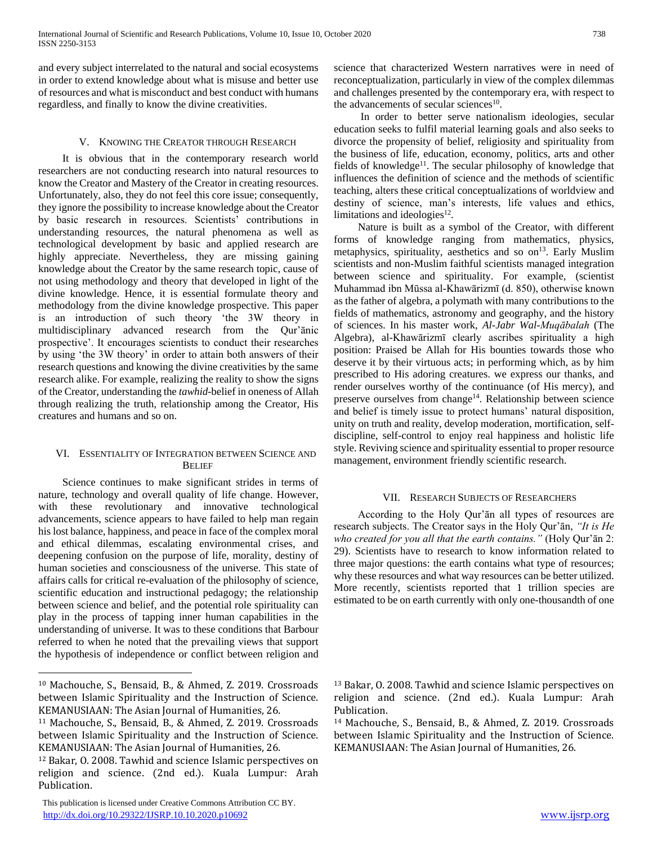and every subject interrelated to the natural and social ecosystems in order to extend knowledge about what is misuse and better use of resources and what is misconduct and best conduct with humans regardless, and finally to know the divine creativities.

# V. KNOWING THE CREATOR THROUGH RESEARCH

 It is obvious that in the contemporary research world researchers are not conducting research into natural resources to know the Creator and Mastery of the Creator in creating resources. Unfortunately, also, they do not feel this core issue; consequently, they ignore the possibility to increase knowledge about the Creator by basic research in resources. Scientists' contributions in understanding resources, the natural phenomena as well as technological development by basic and applied research are highly appreciate. Nevertheless, they are missing gaining knowledge about the Creator by the same research topic, cause of not using methodology and theory that developed in light of the divine knowledge. Hence, it is essential formulate theory and methodology from the divine knowledge prospective. This paper is an introduction of such theory 'the 3W theory in multidisciplinary advanced research from the Qur'ānic prospective'. It encourages scientists to conduct their researches by using 'the 3W theory' in order to attain both answers of their research questions and knowing the divine creativities by the same research alike. For example, realizing the reality to show the signs of the Creator, understanding the *tawhid-*belief in oneness of Allah through realizing the truth, relationship among the Creator, His creatures and humans and so on.

# VI. ESSENTIALITY OF INTEGRATION BETWEEN SCIENCE AND **BELIEF**

 Science continues to make significant strides in terms of nature, technology and overall quality of life change. However, with these revolutionary and innovative technological advancements, science appears to have failed to help man regain his lost balance, happiness, and peace in face of the complex moral and ethical dilemmas, escalating environmental crises, and deepening confusion on the purpose of life, morality, destiny of human societies and consciousness of the universe. This state of affairs calls for critical re-evaluation of the philosophy of science, scientific education and instructional pedagogy; the relationship between science and belief, and the potential role spirituality can play in the process of tapping inner human capabilities in the understanding of universe. It was to these conditions that Barbour referred to when he noted that the prevailing views that support the hypothesis of independence or conflict between religion and

 $\overline{a}$ 

 This publication is licensed under Creative Commons Attribution CC BY. <http://dx.doi.org/10.29322/IJSRP.10.10.2020.p10692> [www.ijsrp.org](http://ijsrp.org/)

science that characterized Western narratives were in need of reconceptualization, particularly in view of the complex dilemmas and challenges presented by the contemporary era, with respect to the advancements of secular sciences<sup>10</sup>.

 In order to better serve nationalism ideologies, secular education seeks to fulfil material learning goals and also seeks to divorce the propensity of belief, religiosity and spirituality from the business of life, education, economy, politics, arts and other fields of knowledge<sup>11</sup>. The secular philosophy of knowledge that influences the definition of science and the methods of scientific teaching, alters these critical conceptualizations of worldview and destiny of science, man's interests, life values and ethics, limitations and ideologies $12$ .

 Nature is built as a symbol of the Creator, with different forms of knowledge ranging from mathematics, physics, metaphysics, spirituality, aesthetics and so on<sup>13</sup>. Early Muslim scientists and non-Muslim faithful scientists managed integration between science and spirituality. For example, (scientist Muhammad ibn Mūssa al-Khawārizmī (d. 850), otherwise known as the father of algebra, a polymath with many contributions to the fields of mathematics, astronomy and geography, and the history of sciences. In his master work, *Al-Jabr Wal-Muqābalah* (The Algebra), al-Khawārizmī clearly ascribes spirituality a high position: Praised be Allah for His bounties towards those who deserve it by their virtuous acts; in performing which, as by him prescribed to His adoring creatures. we express our thanks, and render ourselves worthy of the continuance (of His mercy), and preserve ourselves from change<sup>14</sup>. Relationship between science and belief is timely issue to protect humans' natural disposition, unity on truth and reality, develop moderation, mortification, selfdiscipline, self-control to enjoy real happiness and holistic life style. Reviving science and spirituality essential to proper resource management, environment friendly scientific research.

# VII. RESEARCH SUBJECTS OF RESEARCHERS

 According to the Holy Qur'ān all types of resources are research subjects. The Creator says in the Holy Qur'ān, *"It is He who created for you all that the earth contains."* (Holy Qur'ān 2: 29). Scientists have to research to know information related to three major questions: the earth contains what type of resources; why these resources and what way resources can be better utilized. More recently, scientists reported that 1 trillion species are estimated to be on earth currently with only one-thousandth of one

<sup>10</sup> Machouche, S., Bensaid, B., & Ahmed, Z. 2019. Crossroads between Islamic Spirituality and the Instruction of Science. KEMANUSIAAN: The Asian Journal of Humanities, 26.

<sup>11</sup> Machouche, S., Bensaid, B., & Ahmed, Z. 2019. Crossroads between Islamic Spirituality and the Instruction of Science. KEMANUSIAAN: The Asian Journal of Humanities, 26.

<sup>12</sup> Bakar, O. 2008. Tawhid and science Islamic perspectives on religion and science. (2nd ed.). Kuala Lumpur: Arah Publication.

<sup>13</sup> Bakar, O. 2008. Tawhid and science Islamic perspectives on religion and science. (2nd ed.). Kuala Lumpur: Arah Publication.

<sup>14</sup> Machouche, S., Bensaid, B., & Ahmed, Z. 2019. Crossroads between Islamic Spirituality and the Instruction of Science. KEMANUSIAAN: The Asian Journal of Humanities, 26.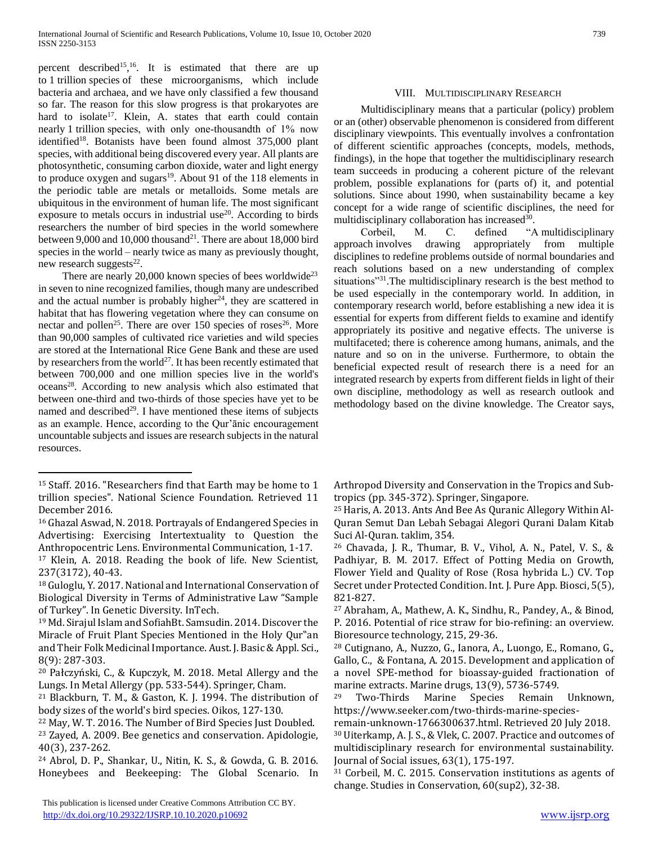percent described<sup>15</sup>,<sup>16</sup>. It is estimated that there are up to 1 trillion species of these microorganisms, which include bacteria and archaea, and we have only classified a few thousand so far. The reason for this slow progress is that prokaryotes are hard to isolate<sup>17</sup>. Klein, A. states that earth could contain nearly 1 trillion species, with only one-thousandth of 1% now identified<sup>18</sup>. Botanists have been found almost 375,000 plant species, with additional being discovered every year. All plants are photosynthetic, consuming carbon dioxide, water and light energy to produce oxygen and sugars $19$ . About 91 of the 118 elements in the periodic table are metals or metalloids. Some metals are ubiquitous in the environment of human life. The most significant exposure to metals occurs in industrial use<sup>20</sup>. According to birds researchers the number of bird species in the world somewhere between 9,000 and 10,000 thousand<sup>21</sup>. There are about 18,000 bird species in the world – nearly twice as many as previously thought, new research suggests $^{22}$ .

There are nearly 20,000 known species of bees worldwide<sup>23</sup> in seven to nine recognized families, though many are undescribed and the actual number is probably higher<sup>24</sup>, they are scattered in habitat that has flowering vegetation where they can consume on nectar and pollen<sup>25</sup>. There are over 150 species of roses<sup>26</sup>. More than 90,000 samples of cultivated rice varieties and wild species are stored at the International Rice Gene Bank and these are used by researchers from the world<sup>27</sup>. It has been recently estimated that between 700,000 and one million species live in the world's oceans<sup>28</sup>. According to new analysis which also estimated that between one-third and two-thirds of those species have yet to be named and described $2^9$ . I have mentioned these items of subjects as an example. Hence, according to the Qur'ānic encouragement uncountable subjects and issues are research subjects in the natural resources.

 $\overline{a}$ 

<sup>16</sup> Ghazal Aswad, N. 2018. Portrayals of Endangered Species in Advertising: Exercising Intertextuality to Question the Anthropocentric Lens. Environmental Communication, 1-17.

<sup>21</sup> Blackburn, T. M., & Gaston, K. J. 1994. The distribution of body sizes of the world's bird species. Oikos, 127-130.

# VIII. MULTIDISCIPLINARY RESEARCH

 Multidisciplinary means that a particular (policy) problem or an (other) observable phenomenon is considered from different disciplinary viewpoints. This eventually involves a confrontation of different scientific approaches (concepts, models, methods, findings), in the hope that together the multidisciplinary research team succeeds in producing a coherent picture of the relevant problem, possible explanations for (parts of) it, and potential solutions. Since about 1990, when sustainability became a key concept for a wide range of scientific disciplines, the need for multidisciplinary collaboration has increased<sup>30</sup>.

 Corbeil, M. C. defined "A multidisciplinary approach involves drawing appropriately from multiple disciplines to redefine problems outside of normal boundaries and reach solutions based on a new understanding of complex situations"<sup>31</sup>. The multidisciplinary research is the best method to be used especially in the contemporary world. In addition, in contemporary research world, before establishing a new idea it is essential for experts from different fields to examine and identify appropriately its positive and negative effects. The universe is multifaceted; there is coherence among humans, animals, and the nature and so on in the universe. Furthermore, to obtain the beneficial expected result of research there is a need for an integrated research by experts from different fields in light of their own discipline, methodology as well as research outlook and methodology based on the divine knowledge. The Creator says,

Arthropod Diversity and Conservation in the Tropics and Subtropics (pp. 345-372). Springer, Singapore.

<sup>25</sup> Haris, A. 2013. Ants And Bee As Quranic Allegory Within Al-Quran Semut Dan Lebah Sebagai Alegori Qurani Dalam Kitab Suci Al-Quran. taklim, 354.

<sup>26</sup> Chavada, J. R., Thumar, B. V., Vihol, A. N., Patel, V. S., & Padhiyar, B. M. 2017. Effect of Potting Media on Growth, Flower Yield and Quality of Rose (Rosa hybrida L.) CV. Top Secret under Protected Condition. Int. J. Pure App. Biosci, 5(5), 821-827.

<sup>27</sup> Abraham, A., Mathew, A. K., Sindhu, R., Pandey, A., & Binod, P. 2016. Potential of rice straw for bio-refining: an overview. Bioresource technology, 215, 29-36.

<sup>28</sup> Cutignano, A., Nuzzo, G., Ianora, A., Luongo, E., Romano, G., Gallo, C., & Fontana, A. 2015. Development and application of a novel SPE-method for bioassay-guided fractionation of marine extracts. Marine drugs, 13(9), 5736-5749.

<sup>&</sup>lt;sup>15</sup> Staff. 2016. "Researchers find that Earth may be home to 1 trillion species". National Science Foundation. Retrieved 11 December 2016.

<sup>17</sup> Klein, A. 2018. Reading the book of life. New Scientist, 237(3172), 40-43.

<sup>18</sup> Guloglu, Y. 2017. National and International Conservation of Biological Diversity in Terms of Administrative Law "Sample of Turkey". In Genetic Diversity. InTech.

<sup>19</sup> Md. Sirajul Islam and SofiahBt. Samsudin. 2014. Discover the Miracle of Fruit Plant Species Mentioned in the Holy Qur"an and Their Folk Medicinal Importance. Aust. J. Basic & Appl. Sci., 8(9): 287-303.

<sup>20</sup> Pałczyński, C., & Kupczyk, M. 2018. Metal Allergy and the Lungs. In Metal Allergy (pp. 533-544). Springer, Cham.

<sup>22</sup> May, W. T. 2016. The Number of Bird Species Just Doubled. <sup>23</sup> Zayed, A. 2009. Bee genetics and conservation. Apidologie, 40(3), 237-262.

<sup>24</sup> Abrol, D. P., Shankar, U., Nitin, K. S., & Gowda, G. B. 2016. Honeybees and Beekeeping: The Global Scenario. In

<sup>29</sup> Two-Thirds Marine Species Remain Unknown, https://www.seeker.com/two-thirds-marine-species-

remain-unknown-1766300637.html. Retrieved 20 July 2018. <sup>30</sup> Uiterkamp, A. J. S., & Vlek, C. 2007. Practice and outcomes of multidisciplinary research for environmental sustainability. Journal of Social issues, 63(1), 175-197.

<sup>31</sup> Corbeil, M. C. 2015. Conservation institutions as agents of change. Studies in Conservation, 60(sup2), 32-38.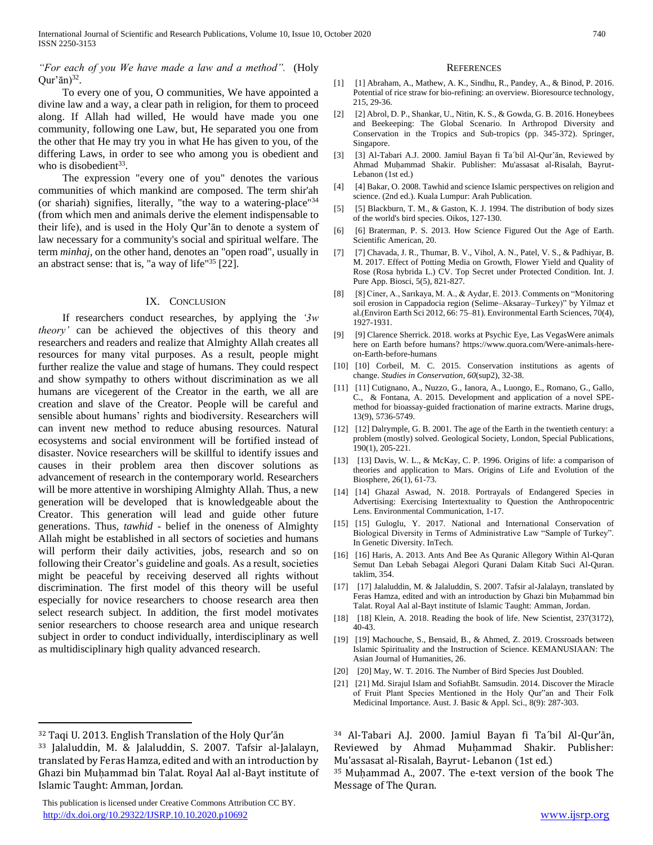## *"For each of you We have made a law and a method".* (Holy  $Qur'$ ān)<sup>32</sup>.

 To every one of you, O communities, We have appointed a divine law and a way, a clear path in religion, for them to proceed along. If Allah had willed, He would have made you one community, following one Law, but, He separated you one from the other that He may try you in what He has given to you, of the differing Laws, in order to see who among you is obedient and who is disobedient<sup>33</sup>.

 The expression "every one of you" denotes the various communities of which mankind are composed. The term shir'ah (or shariah) signifies, literally, "the way to a watering-place"<sup>34</sup> (from which men and animals derive the element indispensable to their life), and is used in the Holy Qur'ān to denote a system of law necessary for a community's social and spiritual welfare. The term *minhaj*, on the other hand, denotes an "open road", usually in an abstract sense: that is, "a way of life" $35$  [22].

## IX. CONCLUSION

 If researchers conduct researches, by applying the *'3w theory'* can be achieved the objectives of this theory and researchers and readers and realize that Almighty Allah creates all resources for many vital purposes. As a result, people might further realize the value and stage of humans. They could respect and show sympathy to others without discrimination as we all humans are vicegerent of the Creator in the earth, we all are creation and slave of the Creator. People will be careful and sensible about humans' rights and biodiversity. Researchers will can invent new method to reduce abusing resources. Natural ecosystems and social environment will be fortified instead of disaster. Novice researchers will be skillful to identify issues and causes in their problem area then discover solutions as advancement of research in the contemporary world. Researchers will be more attentive in worshiping Almighty Allah. Thus, a new generation will be developed that is knowledgeable about the Creator. This generation will lead and guide other future generations. Thus, *tawhid* - belief in the oneness of Almighty Allah might be established in all sectors of societies and humans will perform their daily activities, jobs, research and so on following their Creator's guideline and goals. As a result, societies might be peaceful by receiving deserved all rights without discrimination. The first model of this theory will be useful especially for novice researchers to choose research area then select research subject. In addition, the first model motivates senior researchers to choose research area and unique research subject in order to conduct individually, interdisciplinary as well as multidisciplinary high quality advanced research.

 $\overline{a}$ 

 This publication is licensed under Creative Commons Attribution CC BY. <http://dx.doi.org/10.29322/IJSRP.10.10.2020.p10692> [www.ijsrp.org](http://ijsrp.org/)

#### **REFERENCES**

- [1] [1] Abraham, A., Mathew, A. K., Sindhu, R., Pandey, A., & Binod, P. 2016. Potential of rice straw for bio-refining: an overview. Bioresource technology, 215, 29-36.
- [2] [2] Abrol, D. P., Shankar, U., Nitin, K. S., & Gowda, G. B. 2016. Honeybees and Beekeeping: The Global Scenario. In Arthropod Diversity and Conservation in the Tropics and Sub-tropics (pp. 345-372). Springer, Singapore.
- [3] [3] Al-Tabari A.J. 2000. Jamiul Bayan fi Ta´bil Al-Qur'ān, Reviewed by Ahmad Muḥammad Shakir. Publisher: Mu'assasat al-Risalah, Bayrut-Lebanon (1st ed.)
- [4] [4] Bakar, O. 2008. Tawhid and science Islamic perspectives on religion and science. (2nd ed.). Kuala Lumpur: Arah Publication.
- [5] [5] Blackburn, T. M., & Gaston, K. J. 1994. The distribution of body sizes of the world's bird species. Oikos, 127-130.
- [6] [6] Braterman, P. S. 2013. How Science Figured Out the Age of Earth. Scientific American, 20.
- [7] [7] Chavada, J. R., Thumar, B. V., Vihol, A. N., Patel, V. S., & Padhiyar, B. M. 2017. Effect of Potting Media on Growth, Flower Yield and Quality of Rose (Rosa hybrida L.) CV. Top Secret under Protected Condition. Int. J. Pure App. Biosci, 5(5), 821-827.
- [8] [8] Ciner, A., Sarıkaya, M. A., & Aydar, E. 2013. Comments on "Monitoring soil erosion in Cappadocia region (Selime–Aksaray–Turkey)" by Yilmaz et al.(Environ Earth Sci 2012, 66: 75–81). Environmental Earth Sciences, 70(4), 1927-1931.
- [9] [9] Clarence Sherrick. 2018. works at Psychic Eye, Las VegasWere animals here on Earth before humans? https://www.quora.com/Were-animals-hereon-Earth-before-humans
- [10] [10] Corbeil, M. C. 2015. Conservation institutions as agents of change. *Studies in Conservation*, *60*(sup2), 32-38.
- [11] [11] Cutignano, A., Nuzzo, G., Ianora, A., Luongo, E., Romano, G., Gallo, C., & Fontana, A. 2015. Development and application of a novel SPEmethod for bioassay-guided fractionation of marine extracts. Marine drugs, 13(9), 5736-5749.
- [12] [12] Dalrymple, G. B. 2001. The age of the Earth in the twentieth century: a problem (mostly) solved. Geological Society, London, Special Publications, 190(1), 205-221.
- [13] [13] Davis, W. L., & McKay, C. P. 1996. Origins of life: a comparison of theories and application to Mars. Origins of Life and Evolution of the Biosphere, 26(1), 61-73.
- [14] [14] Ghazal Aswad, N. 2018. Portrayals of Endangered Species in Advertising: Exercising Intertextuality to Question the Anthropocentric Lens. Environmental Communication, 1-17.
- [15] [15] Guloglu, Y. 2017. National and International Conservation of Biological Diversity in Terms of Administrative Law "Sample of Turkey". In Genetic Diversity. InTech.
- [16] [16] Haris, A. 2013. Ants And Bee As Quranic Allegory Within Al-Quran Semut Dan Lebah Sebagai Alegori Qurani Dalam Kitab Suci Al-Quran. taklim, 354.
- [17] [17] Jalaluddin, M. & Jalaluddin, S. 2007. Tafsir al-Jalalayn, translated by Feras Hamza, edited and with an introduction by Ghazi bin Muḥammad bin Talat. Royal Aal al-Bayt institute of Islamic Taught: Amman, Jordan.
- [18] [18] Klein, A. 2018. Reading the book of life. New Scientist, 237(3172), 40-43.
- [19] [19] Machouche, S., Bensaid, B., & Ahmed, Z. 2019. Crossroads between Islamic Spirituality and the Instruction of Science. KEMANUSIAAN: The Asian Journal of Humanities, 26.
- [20] [20] May, W. T. 2016. The Number of Bird Species Just Doubled.
- [21] [21] Md. Sirajul Islam and SofiahBt. Samsudin. 2014. Discover the Miracle of Fruit Plant Species Mentioned in the Holy Qur"an and Their Folk Medicinal Importance. Aust. J. Basic & Appl. Sci., 8(9): 287-303.

<sup>35</sup> Muḥammad A., 2007. The e-text version of the book The Message of The Quran.

<sup>32</sup> Taqi U. 2013. English Translation of the Holy Qur'ān

<sup>33</sup> Jalaluddin, M. & Jalaluddin, S. 2007. Tafsir al-Jalalayn, translated by Feras Hamza, edited and with an introduction by Ghazi bin Muḥammad bin Talat. Royal Aal al-Bayt institute of Islamic Taught: Amman, Jordan.

<sup>34</sup> Al-Tabari A.J. 2000. Jamiul Bayan fi Ta´bil Al-Qur'ān, Reviewed by Ahmad Muḥammad Shakir. Publisher: Mu'assasat al-Risalah, Bayrut- Lebanon (1st ed.)